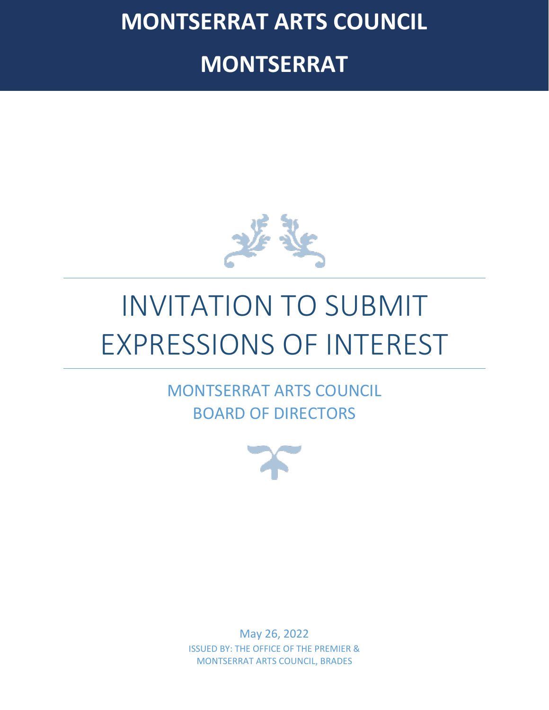**MONTSERRAT ARTS COUNCIL**

**MONTSERRAT**



# INVITATION TO SUBMIT EXPRESSIONS OF INTEREST

MONTSERRAT ARTS COUNCIL BOARD OF DIRECTORS



May 26, 2022 ISSUED BY: THE OFFICE OF THE PREMIER & MONTSERRAT ARTS COUNCIL, BRADES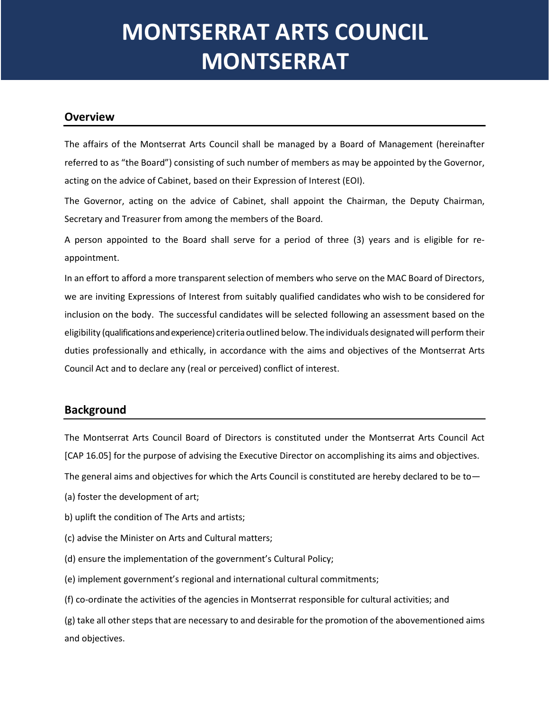# **MONTSERRAT ARTS COUNCIL MONTSERRAT**

#### **Overview**

The affairs of the Montserrat Arts Council shall be managed by a Board of Management (hereinafter referred to as "the Board") consisting of such number of members as may be appointed by the Governor, acting on the advice of Cabinet, based on their Expression of Interest (EOI).

The Governor, acting on the advice of Cabinet, shall appoint the Chairman, the Deputy Chairman, Secretary and Treasurer from among the members of the Board.

A person appointed to the Board shall serve for a period of three (3) years and is eligible for reappointment.

In an effort to afford a more transparent selection of members who serve on the MAC Board of Directors, we are inviting Expressions of Interest from suitably qualified candidates who wish to be considered for inclusion on the body. The successful candidates will be selected following an assessment based on the eligibility (qualifications and experience) criteriaoutlined below. The individuals designatedwill perform their duties professionally and ethically, in accordance with the aims and objectives of the Montserrat Arts Council Act and to declare any (real or perceived) conflict of interest.

### **Background**

The Montserrat Arts Council Board of Directors is constituted under the Montserrat Arts Council Act [CAP 16.05] for the purpose of advising the Executive Director on accomplishing its aims and objectives.

The general aims and objectives for which the Arts Council is constituted are hereby declared to be to—

- (a) foster the development of art;
- b) uplift the condition of The Arts and artists;
- (c) advise the Minister on Arts and Cultural matters;
- (d) ensure the implementation of the government's Cultural Policy;
- (e) implement government's regional and international cultural commitments;
- (f) co-ordinate the activities of the agencies in Montserrat responsible for cultural activities; and

(g) take all other steps that are necessary to and desirable for the promotion of the abovementioned aims and objectives.